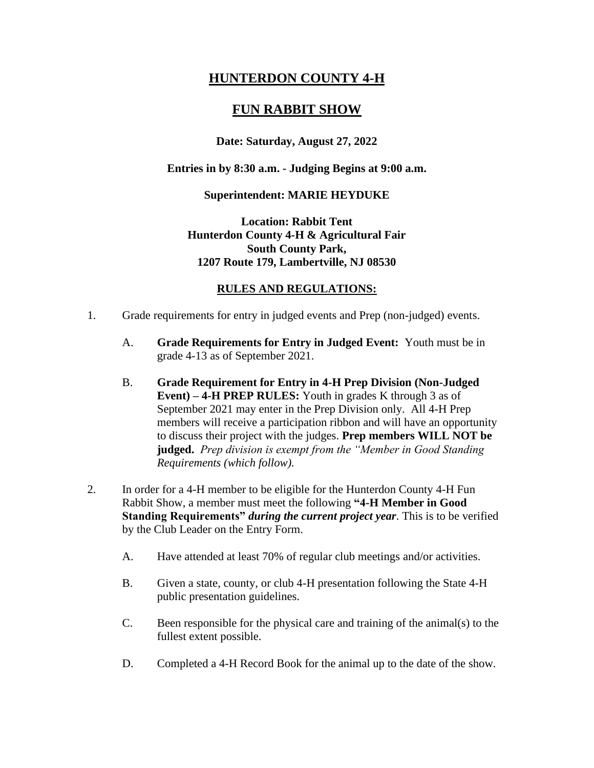# **HUNTERDON COUNTY 4-H**

## **FUN RABBIT SHOW**

## **Date: Saturday, August 27, 2022**

#### **Entries in by 8:30 a.m. - Judging Begins at 9:00 a.m.**

#### **Superintendent: MARIE HEYDUKE**

## **Location: Rabbit Tent Hunterdon County 4-H & Agricultural Fair South County Park, 1207 Route 179, Lambertville, NJ 08530**

## **RULES AND REGULATIONS:**

- 1. Grade requirements for entry in judged events and Prep (non-judged) events.
	- A. **Grade Requirements for Entry in Judged Event:** Youth must be in grade 4-13 as of September 2021.
	- B. **Grade Requirement for Entry in 4-H Prep Division (Non-Judged Event) – 4-H PREP RULES:** Youth in grades K through 3 as of September 2021 may enter in the Prep Division only. All 4-H Prep members will receive a participation ribbon and will have an opportunity to discuss their project with the judges. **Prep members WILL NOT be judged.** *Prep division is exempt from the "Member in Good Standing Requirements (which follow).*
- 2. In order for a 4-H member to be eligible for the Hunterdon County 4-H Fun Rabbit Show, a member must meet the following **"4-H Member in Good Standing Requirements"** *during the current project year*. This is to be verified by the Club Leader on the Entry Form.
	- A. Have attended at least 70% of regular club meetings and/or activities.
	- B. Given a state, county, or club 4-H presentation following the State 4-H public presentation guidelines.
	- C. Been responsible for the physical care and training of the animal(s) to the fullest extent possible.
	- D. Completed a 4-H Record Book for the animal up to the date of the show.